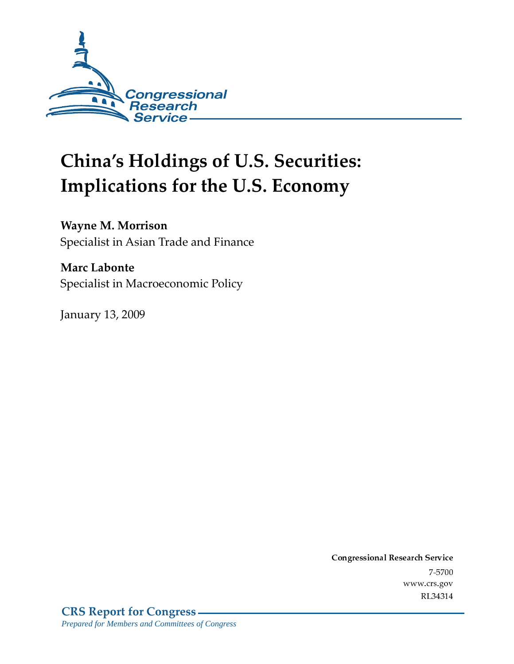

# **China's Holdings of U.S. Securities:** Implications for the U.S. Economy

#### **Wayne M. Morrison**

Specialist in Asian Trade and Finance

#### **Marc Labonte**

Specialist in Macroeconomic Policy

**January 13, 2009** 

Conglessional Research Service  $7 - 2700$ www.crs.gov RL34314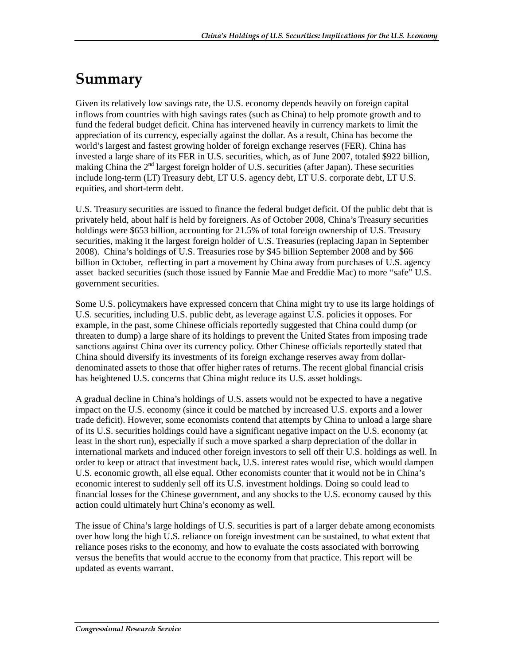### Summary

Given its relatively low savings rate, the U.S. economy depends heavily on foreign capital inflows from countries with high savings rates (such as China) to help promote growth and to fund the federal budget deficit. China has intervened heavily in currency markets to limit the appreciation of its currency, especially against the dollar. As a result, China has become the world's largest and fastest growing holder of foreign exchange reserves (FER). China has invested a large share of its FER in U.S. securities, which, as of June 2007, totaled \$922 billion, making China the  $2<sup>nd</sup>$  largest foreign holder of U.S. securities (after Japan). These securities include long-term (LT) Treasury debt, LT U.S. agency debt, LT U.S. corporate debt, LT U.S. equities, and short-term debt.

U.S. Treasury securities are issued to finance the federal budget deficit. Of the public debt that is privately held, about half is held by foreigners. As of October 2008, China's Treasury securities holdings were \$653 billion, accounting for 21.5% of total foreign ownership of U.S. Treasury securities, making it the largest foreign holder of U.S. Treasuries (replacing Japan in September 2008). China's holdings of U.S. Treasuries rose by \$45 billion September 2008 and by \$66 billion in October, reflecting in part a movement by China away from purchases of U.S. agency asset backed securities (such those issued by Fannie Mae and Freddie Mac) to more "safe" U.S. government securities.

Some U.S. policymakers have expressed concern that China might try to use its large holdings of U.S. securities, including U.S. public debt, as leverage against U.S. policies it opposes. For example, in the past, some Chinese officials reportedly suggested that China could dump (or threaten to dump) a large share of its holdings to prevent the United States from imposing trade sanctions against China over its currency policy. Other Chinese officials reportedly stated that China should diversify its investments of its foreign exchange reserves away from dollardenominated assets to those that offer higher rates of returns. The recent global financial crisis has heightened U.S. concerns that China might reduce its U.S. asset holdings.

A gradual decline in China's holdings of U.S. assets would not be expected to have a negative impact on the U.S. economy (since it could be matched by increased U.S. exports and a lower trade deficit). However, some economists contend that attempts by China to unload a large share of its U.S. securities holdings could have a significant negative impact on the U.S. economy (at least in the short run), especially if such a move sparked a sharp depreciation of the dollar in international markets and induced other foreign investors to sell off their U.S. holdings as well. In order to keep or attract that investment back, U.S. interest rates would rise, which would dampen U.S. economic growth, all else equal. Other economists counter that it would not be in China's economic interest to suddenly sell off its U.S. investment holdings. Doing so could lead to financial losses for the Chinese government, and any shocks to the U.S. economy caused by this action could ultimately hurt China's economy as well.

The issue of China's large holdings of U.S. securities is part of a larger debate among economists over how long the high U.S. reliance on foreign investment can be sustained, to what extent that reliance poses risks to the economy, and how to evaluate the costs associated with borrowing versus the benefits that would accrue to the economy from that practice. This report will be updated as events warrant.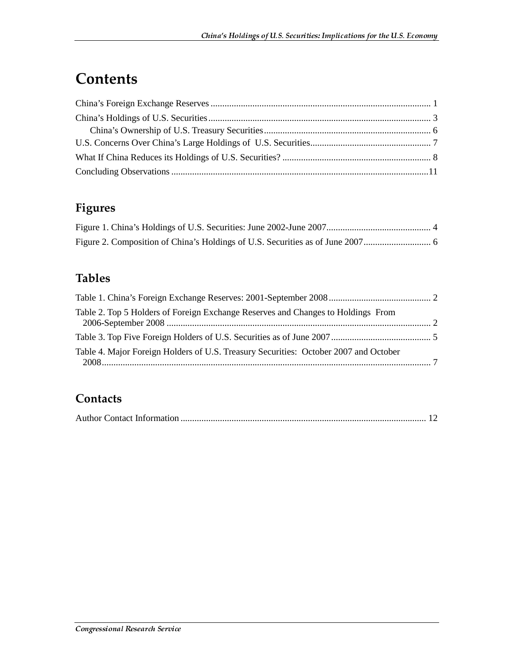### **Contents**

### **Figures**

#### **Tables**

| Table 2. Top 5 Holders of Foreign Exchange Reserves and Changes to Holdings From     |  |
|--------------------------------------------------------------------------------------|--|
|                                                                                      |  |
| Table 4. Major Foreign Holders of U.S. Treasury Securities: October 2007 and October |  |
|                                                                                      |  |

#### **Contacts**

|--|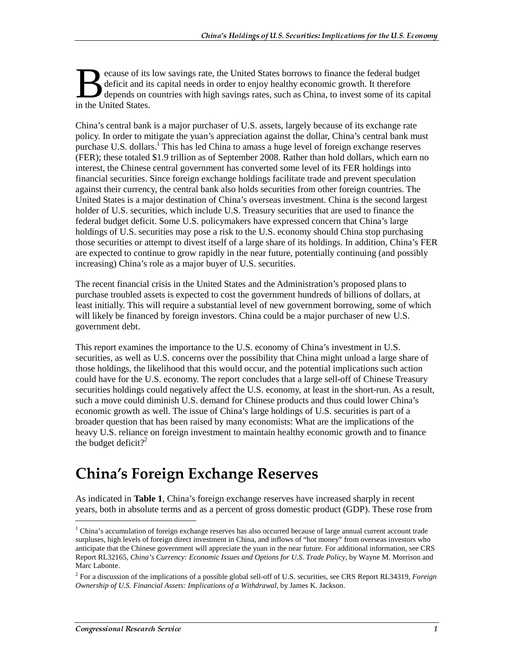ecause of its low savings rate, the United States borrows to finance the federal budget deficit and its capital needs in order to enjoy healthy economic growth. It therefore depends on countries with high savings rates, such as China, to invest some of its capital **B** deficit and its<br>depends on c<br>in the United States.

China's central bank is a major purchaser of U.S. assets, largely because of its exchange rate policy. In order to mitigate the yuan's appreciation against the dollar, China's central bank must purchase U.S. dollars.<sup>1</sup> This has led China to amass a huge level of foreign exchange reserves (FER); these totaled \$1.9 trillion as of September 2008. Rather than hold dollars, which earn no interest, the Chinese central government has converted some level of its FER holdings into financial securities. Since foreign exchange holdings facilitate trade and prevent speculation against their currency, the central bank also holds securities from other foreign countries. The United States is a major destination of China's overseas investment. China is the second largest holder of U.S. securities, which include U.S. Treasury securities that are used to finance the federal budget deficit. Some U.S. policymakers have expressed concern that China's large holdings of U.S. securities may pose a risk to the U.S. economy should China stop purchasing those securities or attempt to divest itself of a large share of its holdings. In addition, China's FER are expected to continue to grow rapidly in the near future, potentially continuing (and possibly increasing) China's role as a major buyer of U.S. securities.

The recent financial crisis in the United States and the Administration's proposed plans to purchase troubled assets is expected to cost the government hundreds of billions of dollars, at least initially. This will require a substantial level of new government borrowing, some of which will likely be financed by foreign investors. China could be a major purchaser of new U.S. government debt.

This report examines the importance to the U.S. economy of China's investment in U.S. securities, as well as U.S. concerns over the possibility that China might unload a large share of those holdings, the likelihood that this would occur, and the potential implications such action could have for the U.S. economy. The report concludes that a large sell-off of Chinese Treasury securities holdings could negatively affect the U.S. economy, at least in the short-run. As a result, such a move could diminish U.S. demand for Chinese products and thus could lower China's economic growth as well. The issue of China's large holdings of U.S. securities is part of a broader question that has been raised by many economists: What are the implications of the heavy U.S. reliance on foreign investment to maintain healthy economic growth and to finance the budget deficit?<sup>2</sup>

### China's Foreign Exchange Reserves

As indicated in **Table 1**, China's foreign exchange reserves have increased sharply in recent years, both in absolute terms and as a percent of gross domestic product (GDP). These rose from

<sup>&</sup>lt;sup>1</sup> China's accumulation of foreign exchange reserves has also occurred because of large annual current account trade surpluses, high levels of foreign direct investment in China, and inflows of "hot money" from overseas investors who anticipate that the Chinese government will appreciate the yuan in the near future. For additional information, see CRS Report RL32165, *China's Currency: Economic Issues and Options for U.S. Trade Policy*, by Wayne M. Morrison and Marc Labonte.

<sup>2</sup> For a discussion of the implications of a possible global sell-off of U.S. securities, see CRS Report RL34319, *Foreign Ownership of U.S. Financial Assets: Implications of a Withdrawal*, by James K. Jackson.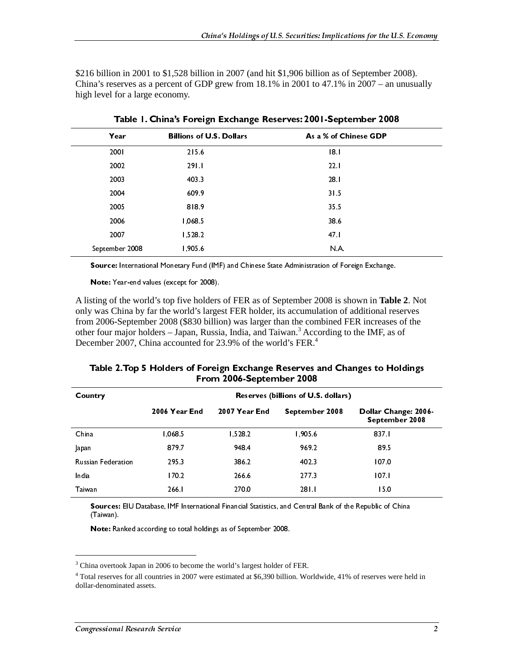\$216 billion in 2001 to \$1,528 billion in 2007 (and hit \$1,906 billion as of September 2008). China's reserves as a percent of GDP grew from 18.1% in 2001 to 47.1% in 2007 – an unusually high level for a large economy.

| Year                                                                                                                                                                                                                                                                                          | <b>Billions of U.S. Dollars</b>                |               | As a % of Chinese GDP                                                                           |                                        |  |  |  |
|-----------------------------------------------------------------------------------------------------------------------------------------------------------------------------------------------------------------------------------------------------------------------------------------------|------------------------------------------------|---------------|-------------------------------------------------------------------------------------------------|----------------------------------------|--|--|--|
| 2001                                                                                                                                                                                                                                                                                          | 215.6                                          |               | 8                                                                                               |                                        |  |  |  |
| 2002                                                                                                                                                                                                                                                                                          | 291.1                                          |               | 22.1                                                                                            |                                        |  |  |  |
| 2003                                                                                                                                                                                                                                                                                          | 403.3<br>28.1                                  |               |                                                                                                 |                                        |  |  |  |
| 2004                                                                                                                                                                                                                                                                                          | 609.9                                          |               | 31.5                                                                                            |                                        |  |  |  |
| 2005                                                                                                                                                                                                                                                                                          | 818.9                                          |               | 35.5                                                                                            |                                        |  |  |  |
| 2006                                                                                                                                                                                                                                                                                          | 1,068.5                                        |               | 38.6                                                                                            |                                        |  |  |  |
| 2007                                                                                                                                                                                                                                                                                          | 1,528.2                                        |               | 47.1                                                                                            |                                        |  |  |  |
| September 2008                                                                                                                                                                                                                                                                                | 1,905.6                                        |               | N.A.                                                                                            |                                        |  |  |  |
|                                                                                                                                                                                                                                                                                               |                                                |               | Source: International Monetary Fund (IMF) and Chinese State Administration of Foreign Exchange. |                                        |  |  |  |
|                                                                                                                                                                                                                                                                                               | Note: Year-end values (except for 2008).       |               |                                                                                                 |                                        |  |  |  |
| other four major holders – Japan, Russia, India, and Taiwan. <sup>3</sup> According to the IMF, as of<br>December 2007, China accounted for 23.9% of the world's FER. <sup>4</sup><br>Table 2. Top 5 Holders of Foreign Exchange Reserves and Changes to Holdings<br>From 2006-September 2008 |                                                |               |                                                                                                 |                                        |  |  |  |
|                                                                                                                                                                                                                                                                                               | Country<br>Reserves (billions of U.S. dollars) |               |                                                                                                 |                                        |  |  |  |
|                                                                                                                                                                                                                                                                                               | 2006 Year End                                  | 2007 Year End | September 2008                                                                                  | Dollar Change: 2006-<br>September 2008 |  |  |  |
| China                                                                                                                                                                                                                                                                                         | 1,068.5                                        | 1,528.2       | 1,905.6                                                                                         | 837.1                                  |  |  |  |
| Japan                                                                                                                                                                                                                                                                                         | 879.7                                          | 948.4         | 969.2                                                                                           | 89.5                                   |  |  |  |
| <b>Russian Federation</b>                                                                                                                                                                                                                                                                     | 295.3                                          | 386.2         | 402.3                                                                                           | 107.0                                  |  |  |  |
| India                                                                                                                                                                                                                                                                                         | 170.2                                          | 266.6         | 2773                                                                                            | 107.1                                  |  |  |  |
| Taiwan                                                                                                                                                                                                                                                                                        | 266.1                                          | 270.0         | 281.1                                                                                           | 15.0                                   |  |  |  |
| Sources: EIU Database, IMF International Financial Statistics, and Central Bank of the Republic of China<br>(Taiwan).<br>Note: Ranked according to total holdings as of September 2008.                                                                                                       |                                                |               |                                                                                                 |                                        |  |  |  |

Table 1. China's Foreign Exchange Reserves: 2001-September 2008

| Table 2. Top 5 Holders of Foreign Exchange Reserves and Changes to Holdings |
|-----------------------------------------------------------------------------|
| From 2006-September 2008                                                    |

|                                | Source: International Monetary Fund (IMF) and Chinese State Administration of Foreign Exchange.<br>Note: Year-end values (except for 2008). |                          |                                     |                                                                                                                                                                                                     |
|--------------------------------|---------------------------------------------------------------------------------------------------------------------------------------------|--------------------------|-------------------------------------|-----------------------------------------------------------------------------------------------------------------------------------------------------------------------------------------------------|
|                                |                                                                                                                                             |                          |                                     | A listing of the world's top five holders of FER as of September 2008 is shown in Table 2. Not<br>only was China by far the world's largest FER holder, its accumulation of additional reserves     |
|                                | December 2007, China accounted for 23.9% of the world's FER. <sup>4</sup>                                                                   |                          |                                     | from 2006-September 2008 (\$830 billion) was larger than the combined FER increases of the<br>other four major holders - Japan, Russia, India, and Taiwan. <sup>3</sup> According to the IMF, as of |
|                                |                                                                                                                                             |                          |                                     | Table 2. Top 5 Holders of Foreign Exchange Reserves and Changes to Holdings                                                                                                                         |
| Country                        |                                                                                                                                             | From 2006-September 2008 | Reserves (billions of U.S. dollars) |                                                                                                                                                                                                     |
|                                | 2006 Year End                                                                                                                               | 2007 Year End            | September 2008                      | Dollar Change: 2006-<br>September 2008                                                                                                                                                              |
| China<br>Japan                 | 1,068.5<br>879.7                                                                                                                            | 1,528.2<br>9484          | 1,905.6<br>969.2                    | 837.1<br>89.5                                                                                                                                                                                       |
| Russian Federation<br>India    | 295.3<br>170.2                                                                                                                              | 386.2<br>266.6           | 402.3<br>277.3                      | 107.0<br>107.1                                                                                                                                                                                      |
| Taiwan                         | 266.1                                                                                                                                       | 270.0                    | 281.1                               | 15.0<br>Sources: EIU Database, IMF International Financial Statistics, and Central Bank of the Republic of China                                                                                    |
| (Taiwan).                      | Note: Ranked according to total holdings as of September 2008.                                                                              |                          |                                     |                                                                                                                                                                                                     |
|                                | $^3$ China overtook Japan in 2006 to become the world's largest holder of FER.                                                              |                          |                                     |                                                                                                                                                                                                     |
| dollar-denominated assets.     |                                                                                                                                             |                          |                                     | $4$ Total reserves for all countries in 2007 were estimated at \$6,390 billion. Worldwide, 41% of reserves were held in                                                                             |
|                                |                                                                                                                                             |                          |                                     |                                                                                                                                                                                                     |
| Congressional Research Service |                                                                                                                                             |                          |                                     | $\overline{2}$                                                                                                                                                                                      |
|                                |                                                                                                                                             |                          |                                     |                                                                                                                                                                                                     |
|                                |                                                                                                                                             |                          |                                     |                                                                                                                                                                                                     |
|                                |                                                                                                                                             |                          |                                     |                                                                                                                                                                                                     |
|                                |                                                                                                                                             |                          |                                     |                                                                                                                                                                                                     |
|                                |                                                                                                                                             |                          |                                     |                                                                                                                                                                                                     |
|                                |                                                                                                                                             |                          |                                     |                                                                                                                                                                                                     |
|                                |                                                                                                                                             |                          |                                     |                                                                                                                                                                                                     |
|                                |                                                                                                                                             |                          |                                     |                                                                                                                                                                                                     |
|                                |                                                                                                                                             |                          |                                     |                                                                                                                                                                                                     |
|                                |                                                                                                                                             |                          |                                     |                                                                                                                                                                                                     |
|                                |                                                                                                                                             |                          |                                     |                                                                                                                                                                                                     |
|                                |                                                                                                                                             |                          |                                     |                                                                                                                                                                                                     |
|                                |                                                                                                                                             |                          |                                     |                                                                                                                                                                                                     |
|                                |                                                                                                                                             |                          |                                     |                                                                                                                                                                                                     |
|                                |                                                                                                                                             |                          |                                     |                                                                                                                                                                                                     |
|                                |                                                                                                                                             |                          |                                     |                                                                                                                                                                                                     |
|                                |                                                                                                                                             |                          |                                     |                                                                                                                                                                                                     |
|                                |                                                                                                                                             |                          |                                     |                                                                                                                                                                                                     |
|                                |                                                                                                                                             |                          |                                     |                                                                                                                                                                                                     |
|                                |                                                                                                                                             |                          |                                     |                                                                                                                                                                                                     |
|                                |                                                                                                                                             |                          |                                     |                                                                                                                                                                                                     |
|                                |                                                                                                                                             |                          |                                     |                                                                                                                                                                                                     |
|                                |                                                                                                                                             |                          |                                     |                                                                                                                                                                                                     |
|                                |                                                                                                                                             |                          |                                     |                                                                                                                                                                                                     |
|                                |                                                                                                                                             |                          |                                     |                                                                                                                                                                                                     |
|                                |                                                                                                                                             |                          |                                     |                                                                                                                                                                                                     |
|                                |                                                                                                                                             |                          |                                     |                                                                                                                                                                                                     |
|                                |                                                                                                                                             |                          |                                     |                                                                                                                                                                                                     |
|                                |                                                                                                                                             |                          |                                     |                                                                                                                                                                                                     |
|                                |                                                                                                                                             |                          |                                     |                                                                                                                                                                                                     |
|                                |                                                                                                                                             |                          |                                     |                                                                                                                                                                                                     |
|                                |                                                                                                                                             |                          |                                     |                                                                                                                                                                                                     |
|                                |                                                                                                                                             |                          |                                     |                                                                                                                                                                                                     |
|                                |                                                                                                                                             |                          |                                     |                                                                                                                                                                                                     |
|                                |                                                                                                                                             |                          |                                     |                                                                                                                                                                                                     |
|                                |                                                                                                                                             |                          |                                     |                                                                                                                                                                                                     |
|                                |                                                                                                                                             |                          |                                     |                                                                                                                                                                                                     |
|                                |                                                                                                                                             |                          |                                     |                                                                                                                                                                                                     |
|                                |                                                                                                                                             |                          |                                     |                                                                                                                                                                                                     |
|                                |                                                                                                                                             |                          |                                     |                                                                                                                                                                                                     |
|                                |                                                                                                                                             |                          |                                     |                                                                                                                                                                                                     |
|                                |                                                                                                                                             |                          |                                     |                                                                                                                                                                                                     |
|                                |                                                                                                                                             |                          |                                     |                                                                                                                                                                                                     |
|                                |                                                                                                                                             |                          |                                     |                                                                                                                                                                                                     |
|                                |                                                                                                                                             |                          |                                     |                                                                                                                                                                                                     |
|                                |                                                                                                                                             |                          |                                     |                                                                                                                                                                                                     |
|                                |                                                                                                                                             |                          |                                     |                                                                                                                                                                                                     |
|                                |                                                                                                                                             |                          |                                     |                                                                                                                                                                                                     |
|                                |                                                                                                                                             |                          |                                     |                                                                                                                                                                                                     |
|                                |                                                                                                                                             |                          |                                     |                                                                                                                                                                                                     |
|                                |                                                                                                                                             |                          |                                     |                                                                                                                                                                                                     |
|                                |                                                                                                                                             |                          |                                     |                                                                                                                                                                                                     |
|                                |                                                                                                                                             |                          |                                     |                                                                                                                                                                                                     |
|                                |                                                                                                                                             |                          |                                     |                                                                                                                                                                                                     |
|                                |                                                                                                                                             |                          |                                     |                                                                                                                                                                                                     |
|                                |                                                                                                                                             |                          |                                     |                                                                                                                                                                                                     |

<sup>&</sup>lt;sup>3</sup> China overtook Japan in 2006 to become the world's largest holder of FER.

Taiwan 266.1 270.0 281.1 15.0<br> **Sources:** EIU Database, IMF International Financial Statistics, and Central Bank of the Republic of<br>
(Taiwan).<br> **Note:** Ranked according to total holdings as of September 2008.<br>
<sup>3</sup> China ov Sources: EIU Database, IMF International Financial Statistics, and Central Bank of the Republic of (Taiwan).<br>
Note: Ranked according to total holdings as of September 2008.<br>
<sup>3</sup> China overtook Japan in 2006 to become the w (Taiwan).<br> **Note:** Ranked according to total holdings as of September 2008.<br> **INTER INTER INTER INTERNATION**<br>
In a overtook Japan in 2006 to become the world's largest holder of FER.<br>
In reserves for all countries in 2007 Note: Ra<br>
ma overtod<br>
ma overtod<br>
al reserves<br>
r-denomin<br>
gressiona Note that the according to the thermal according to the present of the serves for all countries in 2007 were estimated at \$6,390 billion-denominated assets. 4 Total reserves for all countries in 2007 were estimated at \$6,390 billion. Worldwide, 41% of reserves were held in dollar-denominated assets.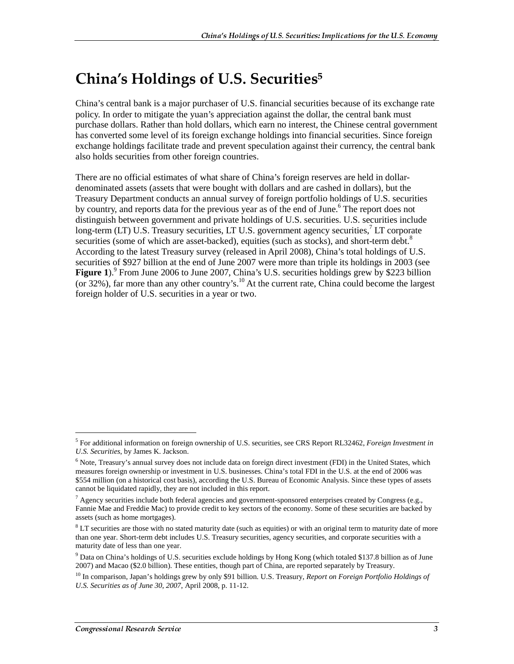### China's Holdings of U.S. Securities $^5$

China's central bank is a major purchaser of U.S. financial securities because of its exchange rate policy. In order to mitigate the yuan's appreciation against the dollar, the central bank must purchase dollars. Rather than hold dollars, which earn no interest, the Chinese central government has converted some level of its foreign exchange holdings into financial securities. Since foreign exchange holdings facilitate trade and prevent speculation against their currency, the central bank also holds securities from other foreign countries.

There are no official estimates of what share of China's foreign reserves are held in dollardenominated assets (assets that were bought with dollars and are cashed in dollars), but the Treasury Department conducts an annual survey of foreign portfolio holdings of U.S. securities by country, and reports data for the previous year as of the end of June.<sup>6</sup> The report does not distinguish between government and private holdings of U.S. securities. U.S. securities include long-term (LT) U.S. Treasury securities, LT U.S. government agency securities,<sup>7</sup> LT corporate securities (some of which are asset-backed), equities (such as stocks), and short-term debt.<sup>8</sup> According to the latest Treasury survey (released in April 2008), China's total holdings of U.S. securities of \$927 billion at the end of June 2007 were more than triple its holdings in 2003 (see Figure 1).<sup>9</sup> From June 2006 to June 2007, China's U.S. securities holdings grew by \$223 billion (or 32%), far more than any other country's.10 At the current rate, China could become the largest foreign holder of U.S. securities in a year or two.

 $\overline{a}$ 

<sup>5</sup> For additional information on foreign ownership of U.S. securities, see CRS Report RL32462, *Foreign Investment in U.S. Securities*, by James K. Jackson.

<sup>&</sup>lt;sup>6</sup> Note, Treasury's annual survey does not include data on foreign direct investment (FDI) in the United States, which measures foreign ownership or investment in U.S. businesses. China's total FDI in the U.S. at the end of 2006 was \$554 million (on a historical cost basis), according the U.S. Bureau of Economic Analysis. Since these types of assets cannot be liquidated rapidly, they are not included in this report.

<sup>&</sup>lt;sup>7</sup> Agency securities include both federal agencies and government-sponsored enterprises created by Congress (e.g., Fannie Mae and Freddie Mac) to provide credit to key sectors of the economy. Some of these securities are backed by assets (such as home mortgages).

<sup>&</sup>lt;sup>8</sup> LT securities are those with no stated maturity date (such as equities) or with an original term to maturity date of more than one year. Short-term debt includes U.S. Treasury securities, agency securities, and corporate securities with a maturity date of less than one year.

<sup>&</sup>lt;sup>9</sup> Data on China's holdings of U.S. securities exclude holdings by Hong Kong (which totaled \$137.8 billion as of June 2007) and Macao (\$2.0 billion). These entities, though part of China, are reported separately by Treasury.

<sup>10</sup> In comparison, Japan's holdings grew by only \$91 billion. U.S. Treasury, *Report on Foreign Portfolio Holdings of U.S. Securities as of June 30, 2007*, April 2008, p. 11-12.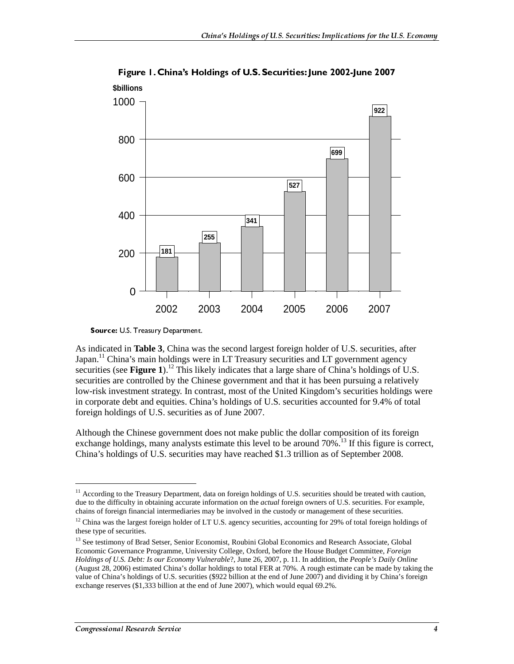

Figure 1. China's Holdings of U.S. Securities: June 2002-June 2007 **\$billions**

As indicated in **Table 3**, China was the second largest foreign holder of U.S. securities, after Japan.<sup>11</sup> China's main holdings were in LT Treasury securities and LT government agency securities (see **Figure 1**).<sup>12</sup> This likely indicates that a large share of China's holdings of U.S. securities are controlled by the Chinese government and that it has been pursuing a relatively low-risk investment strategy. In contrast, most of the United Kingdom's securities holdings were in corporate debt and equities. China's holdings of U.S. securities accounted for 9.4% of total foreign holdings of U.S. securities as of June 2007.

Although the Chinese government does not make public the dollar composition of its foreign exchange holdings, many analysts estimate this level to be around  $70\%$ <sup>13</sup> If this figure is correct, China's holdings of U.S. securities may have reached \$1.3 trillion as of September 2008.

 $\overline{a}$ 

Source: U.S. Treasury Department.

 $11$  According to the Treasury Department, data on foreign holdings of U.S. securities should be treated with caution, due to the difficulty in obtaining accurate information on the *actual* foreign owners of U.S. securities. For example, chains of foreign financial intermediaries may be involved in the custody or management of these securities.

<sup>&</sup>lt;sup>12</sup> China was the largest foreign holder of LT U.S. agency securities, accounting for 29% of total foreign holdings of these type of securities.

<sup>&</sup>lt;sup>13</sup> See testimony of Brad Setser, Senior Economist, Roubini Global Economics and Research Associate, Global Economic Governance Programme, University College, Oxford, before the House Budget Committee, *Foreign Holdings of U.S. Debt: Is our Economy Vulnerable*?, June 26, 2007, p. 11. In addition, the *People's Daily Online* (August 28, 2006) estimated China's dollar holdings to total FER at 70%. A rough estimate can be made by taking the value of China's holdings of U.S. securities (\$922 billion at the end of June 2007) and dividing it by China's foreign exchange reserves (\$1,333 billion at the end of June 2007), which would equal 69.2%.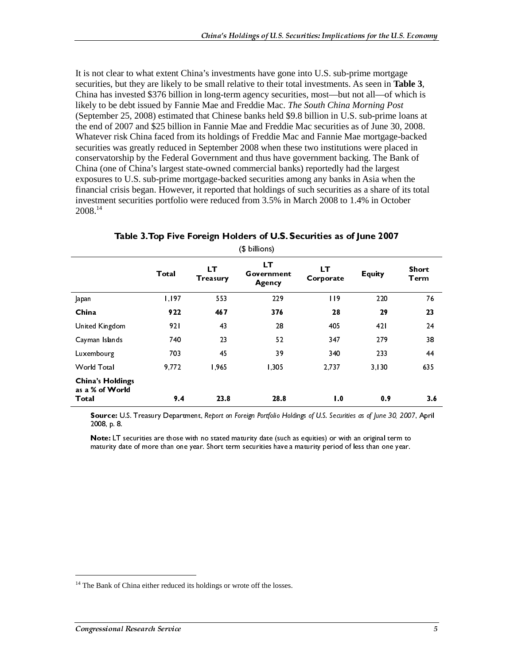It is not clear to what extent China's investments have gone into U.S. sub-prime mortgage securities, but they are likely to be small relative to their total investments. As seen in **Table 3**, China has invested \$376 billion in long-term agency securities, most—but not all—of which is likely to be debt issued by Fannie Mae and Freddie Mac. *The South China Morning Post* (September 25, 2008) estimated that Chinese banks held \$9.8 billion in U.S. sub-prime loans at the end of 2007 and \$25 billion in Fannie Mae and Freddie Mac securities as of June 30, 2008. Whatever risk China faced from its holdings of Freddie Mac and Fannie Mae mortgage-backed securities was greatly reduced in September 2008 when these two institutions were placed in conservatorship by the Federal Government and thus have government backing. The Bank of China (one of China's largest state-owned commercial banks) reportedly had the largest exposures to U.S. sub-prime mortgage-backed securities among any banks in Asia when the financial crisis began. However, it reported that holdings of such securities as a share of its total investment securities portfolio were reduced from 3.5% in March 2008 to 1.4% in October 2008.14

|                                                                                | Total         | LT<br>Treasury | (A nillious)<br>LT<br>Government<br>Agency                                                                                                                                                                            | LT<br>Corporate                                   | Equity       | Short<br><b>Term</b> |
|--------------------------------------------------------------------------------|---------------|----------------|-----------------------------------------------------------------------------------------------------------------------------------------------------------------------------------------------------------------------|---------------------------------------------------|--------------|----------------------|
| Japan<br>China                                                                 | I, I97<br>922 | 553<br>467     | 229<br>376                                                                                                                                                                                                            | 119<br>${\bf 28}$                                 | 220<br>29    | 76<br>23             |
| United Kingdom<br>Cayman Islands                                               | 921<br>740    | 43<br>23       | ${\bf 28}$<br>52                                                                                                                                                                                                      | 405<br>347                                        | 421<br>279   | 24<br>38             |
| Luxembourg<br>World Total                                                      | 703<br>9,772  | 45<br>1,965    | 39<br>1,305                                                                                                                                                                                                           | 340<br>2,737                                      | 233<br>3,130 | 44<br>635            |
| <b>China's Holdings</b><br>as a % of World                                     |               |                |                                                                                                                                                                                                                       |                                                   |              |                      |
| Total<br>2008, p. 8.                                                           | 9.4           | 23.8           | 28.8<br>Source: U.S. Treasury Department, Report on Foreign Portfolio Holdings of U.S. Securities as of June 30, 2007, April                                                                                          | $\boldsymbol{\mathsf{I}}.\boldsymbol{\mathsf{0}}$ | 0.9          | 3.6                  |
|                                                                                |               |                | Note: LT securities are those with no stated maturity date (such as equities) or with an original term to<br>maturity date of more than one year. Short term securities have a maturity period of less than one year. |                                                   |              |                      |
|                                                                                |               |                |                                                                                                                                                                                                                       |                                                   |              |                      |
|                                                                                |               |                |                                                                                                                                                                                                                       |                                                   |              |                      |
|                                                                                |               |                |                                                                                                                                                                                                                       |                                                   |              |                      |
|                                                                                |               |                |                                                                                                                                                                                                                       |                                                   |              |                      |
| $^{14}$ The Bank of China either reduced its holdings or wrote off the losses. |               |                |                                                                                                                                                                                                                       |                                                   |              |                      |
| <b>Congressional Research Service</b>                                          |               |                |                                                                                                                                                                                                                       |                                                   |              | $\sqrt{5}$           |
|                                                                                |               |                |                                                                                                                                                                                                                       |                                                   |              |                      |
|                                                                                |               |                |                                                                                                                                                                                                                       |                                                   |              |                      |
|                                                                                |               |                |                                                                                                                                                                                                                       |                                                   |              |                      |
|                                                                                |               |                |                                                                                                                                                                                                                       |                                                   |              |                      |
|                                                                                |               |                |                                                                                                                                                                                                                       |                                                   |              |                      |
|                                                                                |               |                |                                                                                                                                                                                                                       |                                                   |              |                      |
|                                                                                |               |                |                                                                                                                                                                                                                       |                                                   |              |                      |
|                                                                                |               |                |                                                                                                                                                                                                                       |                                                   |              |                      |
|                                                                                |               |                |                                                                                                                                                                                                                       |                                                   |              |                      |
|                                                                                |               |                |                                                                                                                                                                                                                       |                                                   |              |                      |
|                                                                                |               |                |                                                                                                                                                                                                                       |                                                   |              |                      |
|                                                                                |               |                |                                                                                                                                                                                                                       |                                                   |              |                      |
|                                                                                |               |                |                                                                                                                                                                                                                       |                                                   |              |                      |
|                                                                                |               |                |                                                                                                                                                                                                                       |                                                   |              |                      |
|                                                                                |               |                |                                                                                                                                                                                                                       |                                                   |              |                      |
|                                                                                |               |                |                                                                                                                                                                                                                       |                                                   |              |                      |
|                                                                                |               |                |                                                                                                                                                                                                                       |                                                   |              |                      |
|                                                                                |               |                |                                                                                                                                                                                                                       |                                                   |              |                      |
|                                                                                |               |                |                                                                                                                                                                                                                       |                                                   |              |                      |
|                                                                                |               |                |                                                                                                                                                                                                                       |                                                   |              |                      |
|                                                                                |               |                |                                                                                                                                                                                                                       |                                                   |              |                      |
|                                                                                |               |                |                                                                                                                                                                                                                       |                                                   |              |                      |
|                                                                                |               |                |                                                                                                                                                                                                                       |                                                   |              |                      |
|                                                                                |               |                |                                                                                                                                                                                                                       |                                                   |              |                      |
|                                                                                |               |                |                                                                                                                                                                                                                       |                                                   |              |                      |
|                                                                                |               |                |                                                                                                                                                                                                                       |                                                   |              |                      |
|                                                                                |               |                |                                                                                                                                                                                                                       |                                                   |              |                      |
|                                                                                |               |                |                                                                                                                                                                                                                       |                                                   |              |                      |
|                                                                                |               |                |                                                                                                                                                                                                                       |                                                   |              |                      |
|                                                                                |               |                |                                                                                                                                                                                                                       |                                                   |              |                      |
|                                                                                |               |                |                                                                                                                                                                                                                       |                                                   |              |                      |
|                                                                                |               |                |                                                                                                                                                                                                                       |                                                   |              |                      |
|                                                                                |               |                |                                                                                                                                                                                                                       |                                                   |              |                      |
|                                                                                |               |                |                                                                                                                                                                                                                       |                                                   |              |                      |
|                                                                                |               |                |                                                                                                                                                                                                                       |                                                   |              |                      |
|                                                                                |               |                |                                                                                                                                                                                                                       |                                                   |              |                      |
|                                                                                |               |                |                                                                                                                                                                                                                       |                                                   |              |                      |
|                                                                                |               |                |                                                                                                                                                                                                                       |                                                   |              |                      |
|                                                                                |               |                |                                                                                                                                                                                                                       |                                                   |              |                      |
|                                                                                |               |                |                                                                                                                                                                                                                       |                                                   |              |                      |
|                                                                                |               |                |                                                                                                                                                                                                                       |                                                   |              |                      |
|                                                                                |               |                |                                                                                                                                                                                                                       |                                                   |              |                      |
|                                                                                |               |                |                                                                                                                                                                                                                       |                                                   |              |                      |
|                                                                                |               |                |                                                                                                                                                                                                                       |                                                   |              |                      |
|                                                                                |               |                |                                                                                                                                                                                                                       |                                                   |              |                      |
|                                                                                |               |                |                                                                                                                                                                                                                       |                                                   |              |                      |
|                                                                                |               |                |                                                                                                                                                                                                                       |                                                   |              |                      |
|                                                                                |               |                |                                                                                                                                                                                                                       |                                                   |              |                      |
|                                                                                |               |                |                                                                                                                                                                                                                       |                                                   |              |                      |
|                                                                                |               |                |                                                                                                                                                                                                                       |                                                   |              |                      |
|                                                                                |               |                |                                                                                                                                                                                                                       |                                                   |              |                      |

Table 3. Top Five Foreign Holders of U.S. Securities as of June 2007<br>(S billions)

maturity date of more than one year. Short term securities have a maturity period of more than one year.<br>The Bank of China either reduced its holdings or wrote off the losses.<br>The pressional Research Service  $14$  The Bank of China either reduced its holdings or wrote off the losses.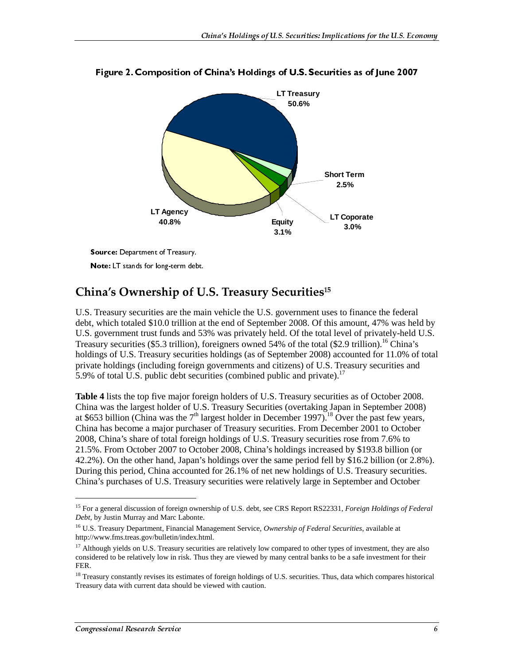

Figure 2. Composition of China's Holdings of U.S. Securities as of June 2007

Source: Department of Treasury.

Note: LT stands for long-term debt.

#### China's Ownership of U.S. Treasury Securities $^{\scriptscriptstyle 15}$

U.S. Treasury securities are the main vehicle the U.S. government uses to finance the federal debt, which totaled \$10.0 trillion at the end of September 2008. Of this amount, 47% was held by U.S. government trust funds and 53% was privately held. Of the total level of privately-held U.S. Treasury securities (\$5.3 trillion), foreigners owned 54% of the total (\$2.9 trillion).<sup>16</sup> China's holdings of U.S. Treasury securities holdings (as of September 2008) accounted for 11.0% of total private holdings (including foreign governments and citizens) of U.S. Treasury securities and 5.9% of total U.S. public debt securities (combined public and private).<sup>17</sup>

**Note:** LT stands for long-term deb<br> **ina's Ownership of** l<br>
Treasury securities are the n<br>
c which totaled \$10.0 trillion<br>
government trust funds and<br>
susry securities (\$5.3 trillion)<br>
lings of U.S. Treasury securities ( **Example 12** The Summin Conduction of **U**<br>
Treasury securities are the maintain and sumplement trust funds and 53<br>
sury securities (\$5.3 trillion), filings of U.S. Treasury securities<br>
ate holdings (including foreign<br>
6 o **Table 4** lists the top five major foreign holders of U.S. Treasury securities as of October 2008. China was the largest holder of U.S. Treasury Securities (overtaking Japan in September 2008) at \$653 billion (China was the  $7<sup>th</sup>$  largest holder in December 1997).<sup>18</sup> Over the past few years, China has become a major purchaser of Treasury securities. From December 2001 to October 2008, China's share of total foreign holdings of U.S. Treasury securities rose from 7.6% to 21.5%. From October 2007 to October 2008, China's holdings increased by \$193.8 billion (or 42.2%). On the other hand, Japan's holdings over the same period fell by \$16.2 billion (or 2.8%). During this period, China accounted for 26.1% of net new holdings of U.S. Treasury securities. China's purchases of U.S. Treasury securities were relatively large in September and October

 $\overline{a}$ 

<sup>15</sup> For a general discussion of foreign ownership of U.S. debt, see CRS Report RS22331, *Foreign Holdings of Federal Debt*, by Justin Murray and Marc Labonte.

<sup>16</sup> U.S. Treasury Department, Financial Management Service, *Ownership of Federal Securities*, available at http://www.fms.treas.gov/bulletin/index.html.

<sup>&</sup>lt;sup>17</sup> Although yields on U.S. Treasury securities are relatively low compared to other types of investment, they are also considered to be relatively low in risk. Thus they are viewed by many central banks to be a safe investment for their FER.

 $18$  Treasury constantly revises its estimates of foreign holdings of U.S. securities. Thus, data which compares historical Treasury data with current data should be viewed with caution.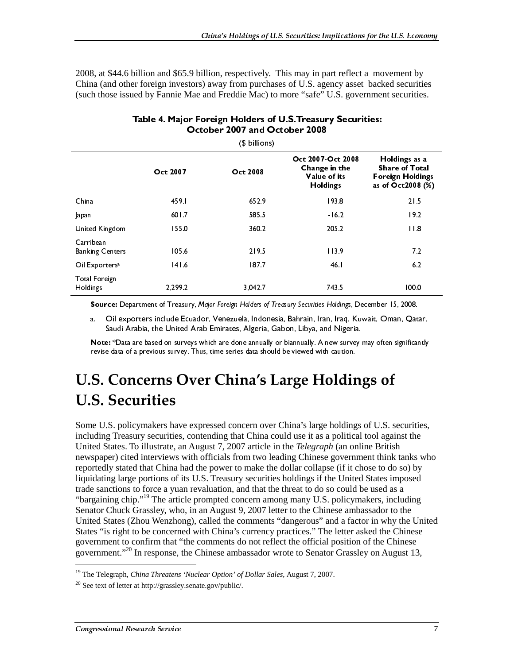2008, at \$44.6 billion and \$65.9 billion, respectively. This may in part reflect a movement by China (and other foreign investors) away from purchases of U.S. agency asset backed securities (such those issued by Fannie Mae and Freddie Mac) to more "safe" U.S. government securities.

| (\$ billions)                           |          |                 |                                                                       |                                                                                        |  |  |
|-----------------------------------------|----------|-----------------|-----------------------------------------------------------------------|----------------------------------------------------------------------------------------|--|--|
|                                         | Oct 2007 | <b>Oct 2008</b> | Oct 2007-Oct 2008<br>Change in the<br>Value of its<br><b>Holdings</b> | Holdings as a<br><b>Share of Total</b><br><b>Foreign Holdings</b><br>as of Oct2008 (%) |  |  |
| China                                   | 459.1    | 652.9           | 193.8                                                                 | 21.5                                                                                   |  |  |
| Japan                                   | 601.7    | 585.5           | $-16.2$                                                               | 19.2                                                                                   |  |  |
| United Kingdom                          | 155.0    | 360.2           | 205.2                                                                 | 11.8                                                                                   |  |  |
| Carribean<br><b>Banking Centers</b>     | 105.6    | 2195            | 113.9                                                                 | 7.2                                                                                    |  |  |
| Oil Exporters <sup>a</sup>              | 141.6    | 187.7           | 46.I                                                                  | 6.2                                                                                    |  |  |
| <b>Total Foreign</b><br><b>Holdings</b> | 2.299.2  | 3,042.7         | 743.5                                                                 | 100.0                                                                                  |  |  |

#### Table 4. Major Foreign Holders of U.S. Treasury Securities: October 2007 and October 2008

a. Oil exporters include Ecuador, Venezuela, Indonesia, Bahrain, Iran, Iraq, Kuwait, Oman, Qatar, Saudi Arabia, the United Arab Emirates, Algeria, Gabon, Libya, and Nigeria.

Note: \*Data are based on surveys which are done annually or biannually. A new survey may often significantly revise data of a previous survey. Thus, time series data should be viewed with caution.

### U.S. Concerns Over China's Large Holdings of U.S. Securities

Oct 2007 Oct 2008<br>
Oct 2008<br>
Oct 2008<br>
Dapan<br>
Dapan<br>
Dapan<br>
Dapan<br>
Dapan<br>
Of 1.7 585.5<br>
David Kingdom<br>
Sanking Centers<br>
Oli Exporters<br>
Oli Exporters<br>
Total Foreign<br>
Total Greeign<br>
And Oli exporters include Ecuator, Verlor Oct 2007-Oct 2008 Value of its<br>
Holdings<br>
193.8<br>
16.2<br>
16.2<br>
205.2<br>
113.9<br>
46.1<br>
743.5<br>
ecurities Holdings,<br>
rain, Iran, Iraq,<br>
743.5<br>
ecurities Holdings,<br>
rain, Iran, Iraq,<br>
ibya, and Niger<br>
ually. A new surved with caution<br> **e Holdi**<br>
e Holdings<br>
193.8<br>
193.8<br>
193.8<br>
193.8<br>
193.8<br>
16.2<br>
205.2<br>
113.9<br>
46.1<br>
743.5<br>
207.2<br>
113.9<br>
46.1<br>
743.5<br>
207.2<br>
113.9<br>
46.1<br>
743.5<br>
207.4<br>
200 Migoral Migoral Migoral Minimese gove<br>
200 Minnese gove<br>
2010<br>
2010<br>
2010<br>
2010 193.8<br>
193.8<br>
193.8<br>
193.9<br>
205.2<br>
113.9<br>
46.1<br>
743.5<br>
1743.5<br>
1743.5<br>
175<br>
179.8<br>
179.8<br>
179.9<br>
179.9<br>
179.9<br>
179.9<br>
179.9<br>
179.9<br>
179.9<br>
179.9<br>
179.9<br>
179.9<br>
179.9<br>
179.9<br>
179.9<br>
179.9<br>
179.9<br>
179.9<br>
179.9<br>
179.9<br>
179.9<br> Share of Total<br>
oreign Holding<br>
of Oct2008 (?<br>
21.5<br>
19.2<br>
11.8<br>
7.2<br>
6.2<br>
100.0<br>
er 15, 2008.<br>
Oman, Qatar,<br>
ften significantly<br> **Of**<br>
S. securities,<br>
against the<br>
ritish<br>
ink tanks whe odo so) by<br>
es imposed<br>
ed as a<br>
i, oreign Holding<br>
Share of Oct 2008 (%<br>
21.5<br>
19.2<br>
11.8<br>
7.2<br>
6.2<br>
100.0<br>
0er 15, 2008.<br>
Oman, Qatar,<br>
offen significantly<br> **Of**<br>
J.S. securities,<br>
against the<br>
3ritish<br>
hink tanks wh<br>
to do so) by<br>
tes imposed<br>
ed as a<br>
s, as of Oct2008 (%)<br>
21.5<br>
19.2<br>
19.2<br>
19.2<br>
19.2<br>
19.2<br>
19.2<br>
19.2<br>
100.0<br>
100.0<br>
100.0<br>
100.0<br>
Inder 15, 2008.<br>
100.0<br>
100.0<br>
Inder 15, 2008.<br>
100.0<br>
Inder 15, 2008.<br>
100.0<br>
Inder 15, 2008.<br>
10.5. securities,<br>
10.5. securi as of October 15, 2008.<br>
19.2<br>
19.2<br>
19.2<br>
19.2<br>
11.8<br>
7.2<br>
6.2<br>
100.0<br>
100.0<br>
100.0<br>
100.0<br>
100.0<br>
100.0<br>
100.0<br>
100.0<br>
100.0<br>
100.0<br>
100.0<br>
100.0<br>
100.0<br>
100.0<br>
100.0<br>
1, Oman, Qatar,<br>
1, Often significantly<br>
5<br>
5<br>
10<br>
1 China 459.1 652.9 193.8 21.5 Japan 601.7 585.5 -16.2 19.2 Carribuse<br>
Stationary Centers<br>
2018 Space and Engine Centers<br>
2018 Space and Engine Centers<br>
Total Engine Centers<br>
Total Engine Contents of Treasury, Major Encyclopedial Motors of Treasury, Scottings. December 15, 2008.<br> Banking Ce<br>Banking Ce<br>Oil Export<br>Total Fore<br>Holdings<br>Sour<br>a. (Survive Rour<br>a. (Survive Rour<br>Previse<br>Congressi<br>Congressi<br>States "is governm"<br>Senator (United S<br>States "is governm")<br>Directed States "is governm"<br>States "is gov Of Experience 1416 1877 16.1 168.<br>
169. Tomatore 167. The Context of Treasury, Major Fough Holder of Treasury, Secretic Holdings.<br>
169. Show the Context of Treasury, Major Fough Holder of Treasury, Secretic Holdings. The On Low Matter Street and the phase of the Contents of the China Street and the Chinese Channel Couldness 241.7 Tail of the China Street Channel Street Channel Street Channel Street Channel Street and Contents in the Could Holdings<br>
Source:<br>
a. Oil<br>
Sauce:<br>
a. Oil<br>
Sauce:<br>
Note: \*[<br>
revise da:<br>
Note: \*[<br>
revise da:<br>
Note: \*[<br>
Tevise da:<br>
U.S. S<br>
Some U.S. ]<br>
Some U.S. ]<br>
including T<br>
United Statte sanctic "bargaining<br>
trade sanctic "bargaini **Source:** Department of Treasury, Mojor Foregn Holders of Treasury Secondes Holdings, December 15, 2008.<br>
a Oil exporters include Ecuador. Venezuela, Indonesia, Bahrain, Iran, Iraq, Kuwait, Oman, Qata<br>
Saudi Arabia, the Un Source: Cognation of Treasure is the United Rundor, New York, New York, New York, New York, New York, New York, New York, New York, New York, New York, New York, New York, New York, New York, New York, New York, New York, Some U.S. policymakers have expressed concern over China's large holdings of U.S. securities, including Treasury securities, contending that China could use it as a political tool against the United States. To illustrate, an August 7, 2007 article in the *Telegraph* (an online British newspaper) cited interviews with officials from two leading Chinese government think tanks who reportedly stated that China had the power to make the dollar collapse (if it chose to do so) by liquidating large portions of its U.S. Treasury securities holdings if the United States imposed trade sanctions to force a yuan revaluation, and that the threat to do so could be used as a "bargaining chip."<sup>19</sup> The article prompted concern among many U.S. policymakers, including Senator Chuck Grassley, who, in an August 9, 2007 letter to the Chinese ambassador to the United States (Zhou Wenzhong), called the comments "dangerous" and a factor in why the United States "is right to be concerned with China's currency practices." The letter asked the Chinese government to confirm that "the comments do not reflect the official position of the Chinese government."<sup>20</sup> In response, the Chinese ambassador wrote to Senator Grassley on August 13,

<sup>19</sup> The Telegraph, *China Threatens 'Nuclear Option' of Dollar Sales*, August 7, 2007.

<sup>20</sup> See text of letter at http://grassley.senate.gov/public/.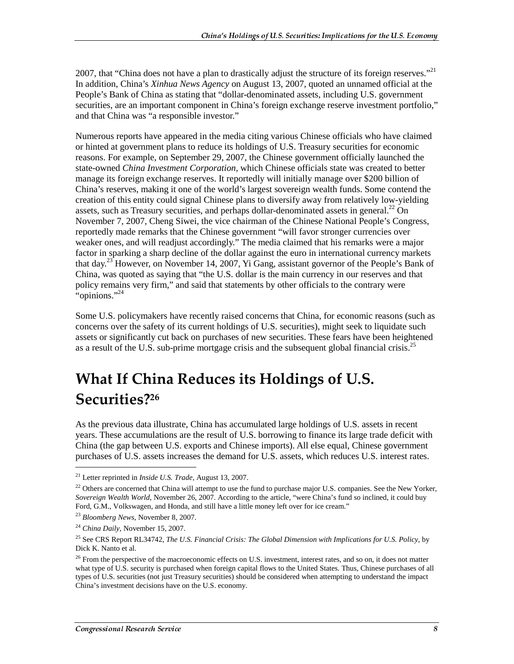2007, that "China does not have a plan to drastically adjust the structure of its foreign reserves."<sup>21</sup> In addition, China's *Xinhua News Agency* on August 13, 2007, quoted an unnamed official at the People's Bank of China as stating that "dollar-denominated assets, including U.S. government securities, are an important component in China's foreign exchange reserve investment portfolio," and that China was "a responsible investor."

Numerous reports have appeared in the media citing various Chinese officials who have claimed or hinted at government plans to reduce its holdings of U.S. Treasury securities for economic reasons. For example, on September 29, 2007, the Chinese government officially launched the state-owned *China Investment Corporation,* which Chinese officials state was created to better manage its foreign exchange reserves. It reportedly will initially manage over \$200 billion of China's reserves, making it one of the world's largest sovereign wealth funds. Some contend the creation of this entity could signal Chinese plans to diversify away from relatively low-yielding assets, such as Treasury securities, and perhaps dollar-denominated assets in general. $^{22}$  On November 7, 2007, Cheng Siwei, the vice chairman of the Chinese National People's Congress, reportedly made remarks that the Chinese government "will favor stronger currencies over weaker ones, and will readjust accordingly." The media claimed that his remarks were a major factor in sparking a sharp decline of the dollar against the euro in international currency markets that day.23 However, on November 14, 2007, Yi Gang, assistant governor of the People's Bank of China, was quoted as saying that "the U.S. dollar is the main currency in our reserves and that policy remains very firm," and said that statements by other officials to the contrary were "opinions."<sup>24</sup>

Some U.S. policymakers have recently raised concerns that China, for economic reasons (such as concerns over the safety of its current holdings of U.S. securities), might seek to liquidate such assets or significantly cut back on purchases of new securities. These fears have been heightened as a result of the U.S. sub-prime mortgage crisis and the subsequent global financial crisis.<sup>25</sup>

## What If China Reduces its Holdings of U.S.  $\,$ Securities?<sup>26</sup>

As the previous data illustrate, China has accumulated large holdings of U.S. assets in recent years. These accumulations are the result of U.S. borrowing to finance its large trade deficit with China (the gap between U.S. exports and Chinese imports). All else equal, Chinese government purchases of U.S. assets increases the demand for U.S. assets, which reduces U.S. interest rates.

<sup>21</sup> Letter reprinted in *Inside U.S. Trade*, August 13, 2007.

 $22$  Others are concerned that China will attempt to use the fund to purchase major U.S. companies. See the New Yorker, *Sovereign Wealth World*, November 26, 2007. According to the article, "were China's fund so inclined, it could buy Ford, G.M., Volkswagen, and Honda, and still have a little money left over for ice cream."

<sup>23</sup> *Bloomberg News*, November 8, 2007.

<sup>24</sup> *China Daily*, November 15, 2007.

<sup>25</sup> See CRS Report RL34742, *The U.S. Financial Crisis: The Global Dimension with Implications for U.S. Policy*, by Dick K. Nanto et al.

 $26$  From the perspective of the macroeconomic effects on U.S. investment, interest rates, and so on, it does not matter what type of U.S. security is purchased when foreign capital flows to the United States. Thus, Chinese purchases of all types of U.S. securities (not just Treasury securities) should be considered when attempting to understand the impact China's investment decisions have on the U.S. economy.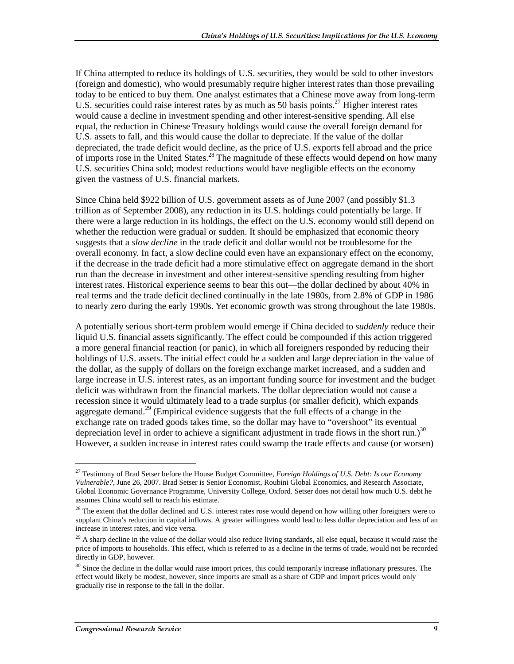If China attempted to reduce its holdings of U.S. securities, they would be sold to other investors (foreign and domestic), who would presumably require higher interest rates than those prevailing today to be enticed to buy them. One analyst estimates that a Chinese move away from long-term U.S. securities could raise interest rates by as much as 50 basis points.<sup>27</sup> Higher interest rates would cause a decline in investment spending and other interest-sensitive spending. All else equal, the reduction in Chinese Treasury holdings would cause the overall foreign demand for U.S. assets to fall, and this would cause the dollar to depreciate. If the value of the dollar depreciated, the trade deficit would decline, as the price of U.S. exports fell abroad and the price of imports rose in the United States.<sup>28</sup> The magnitude of these effects would depend on how many U.S. securities China sold; modest reductions would have negligible effects on the economy given the vastness of U.S. financial markets.

Since China held \$922 billion of U.S. government assets as of June 2007 (and possibly \$1.3 trillion as of September 2008), any reduction in its U.S. holdings could potentially be large. If there were a large reduction in its holdings, the effect on the U.S. economy would still depend on whether the reduction were gradual or sudden. It should be emphasized that economic theory suggests that a *slow decline* in the trade deficit and dollar would not be troublesome for the overall economy. In fact, a slow decline could even have an expansionary effect on the economy, if the decrease in the trade deficit had a more stimulative effect on aggregate demand in the short run than the decrease in investment and other interest-sensitive spending resulting from higher interest rates. Historical experience seems to bear this out—the dollar declined by about 40% in real terms and the trade deficit declined continually in the late 1980s, from 2.8% of GDP in 1986 to nearly zero during the early 1990s. Yet economic growth was strong throughout the late 1980s.

A potentially serious short-term problem would emerge if China decided to *suddenly* reduce their liquid U.S. financial assets significantly. The effect could be compounded if this action triggered a more general financial reaction (or panic), in which all foreigners responded by reducing their holdings of U.S. assets. The initial effect could be a sudden and large depreciation in the value of the dollar, as the supply of dollars on the foreign exchange market increased, and a sudden and large increase in U.S. interest rates, as an important funding source for investment and the budget deficit was withdrawn from the financial markets. The dollar depreciation would not cause a recession since it would ultimately lead to a trade surplus (or smaller deficit), which expands aggregate demand.<sup>29</sup> (Empirical evidence suggests that the full effects of a change in the exchange rate on traded goods takes time, so the dollar may have to "overshoot" its eventual depreciation level in order to achieve a significant adjustment in trade flows in the short run.)<sup>30</sup> However, a sudden increase in interest rates could swamp the trade effects and cause (or worsen)

<sup>27</sup> Testimony of Brad Setser before the House Budget Committee, *Foreign Holdings of U.S. Debt: Is our Economy Vulnerable?*, June 26, 2007. Brad Setser is Senior Economist, Roubini Global Economics, and Research Associate, Global Economic Governance Programme, University College, Oxford. Setser does not detail how much U.S. debt he assumes China would sell to reach his estimate.

<sup>&</sup>lt;sup>28</sup> The extent that the dollar declined and U.S. interest rates rose would depend on how willing other foreigners were to supplant China's reduction in capital inflows. A greater willingness would lead to less dollar depreciation and less of an increase in interest rates, and vice versa.

 $29$  A sharp decline in the value of the dollar would also reduce living standards, all else equal, because it would raise the price of imports to households. This effect, which is referred to as a decline in the terms of trade, would not be recorded directly in GDP, however.

<sup>&</sup>lt;sup>30</sup> Since the decline in the dollar would raise import prices, this could temporarily increase inflationary pressures. The effect would likely be modest, however, since imports are small as a share of GDP and import prices would only gradually rise in response to the fall in the dollar.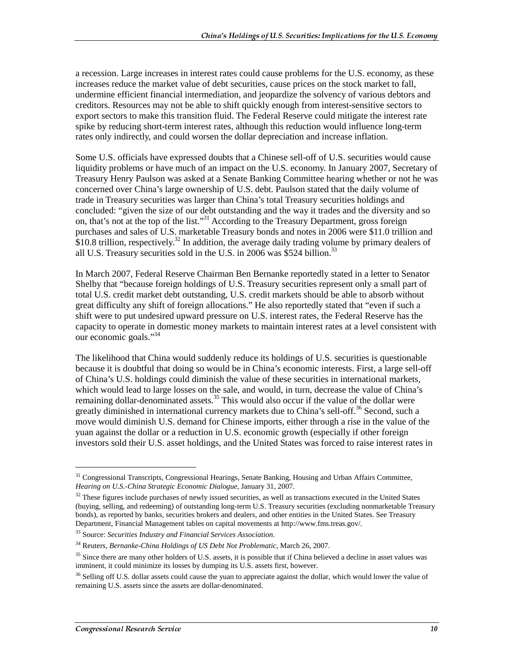a recession. Large increases in interest rates could cause problems for the U.S. economy, as these increases reduce the market value of debt securities, cause prices on the stock market to fall, undermine efficient financial intermediation, and jeopardize the solvency of various debtors and creditors. Resources may not be able to shift quickly enough from interest-sensitive sectors to export sectors to make this transition fluid. The Federal Reserve could mitigate the interest rate spike by reducing short-term interest rates, although this reduction would influence long-term rates only indirectly, and could worsen the dollar depreciation and increase inflation.

Some U.S. officials have expressed doubts that a Chinese sell-off of U.S. securities would cause liquidity problems or have much of an impact on the U.S. economy. In January 2007, Secretary of Treasury Henry Paulson was asked at a Senate Banking Committee hearing whether or not he was concerned over China's large ownership of U.S. debt. Paulson stated that the daily volume of trade in Treasury securities was larger than China's total Treasury securities holdings and concluded: "given the size of our debt outstanding and the way it trades and the diversity and so on, that's not at the top of the list."<sup>31</sup> According to the Treasury Department, gross foreign purchases and sales of U.S. marketable Treasury bonds and notes in 2006 were \$11.0 trillion and \$10.8 trillion, respectively.<sup>32</sup> In addition, the average daily trading volume by primary dealers of all U.S. Treasury securities sold in the U.S. in 2006 was \$524 billion.<sup>33</sup>

In March 2007, Federal Reserve Chairman Ben Bernanke reportedly stated in a letter to Senator Shelby that "because foreign holdings of U.S. Treasury securities represent only a small part of total U.S. credit market debt outstanding, U.S. credit markets should be able to absorb without great difficulty any shift of foreign allocations." He also reportedly stated that "even if such a shift were to put undesired upward pressure on U.S. interest rates, the Federal Reserve has the capacity to operate in domestic money markets to maintain interest rates at a level consistent with our economic goals."34

The likelihood that China would suddenly reduce its holdings of U.S. securities is questionable because it is doubtful that doing so would be in China's economic interests. First, a large sell-off of China's U.S. holdings could diminish the value of these securities in international markets, which would lead to large losses on the sale, and would, in turn, decrease the value of China's remaining dollar-denominated assets.<sup>35</sup> This would also occur if the value of the dollar were greatly diminished in international currency markets due to China's sell-off.<sup>36</sup> Second, such a move would diminish U.S. demand for Chinese imports, either through a rise in the value of the yuan against the dollar or a reduction in U.S. economic growth (especially if other foreign investors sold their U.S. asset holdings, and the United States was forced to raise interest rates in

<sup>&</sup>lt;sup>31</sup> Congressional Transcripts, Congressional Hearings, Senate Banking, Housing and Urban Affairs Committee, *Hearing on U.S.-China Strategic Economic Dialogue*, January 31, 2007.

 $32$  These figures include purchases of newly issued securities, as well as transactions executed in the United States (buying, selling, and redeeming) of outstanding long-term U.S. Treasury securities (excluding nonmarketable Treasury bonds), as reported by banks, securities brokers and dealers, and other entities in the United States. See Treasury Department, Financial Management tables on capital movements at http://www.fms.treas.gov/.

<sup>33</sup> Source: *Securities Industry and Financial Services Association*.

<sup>34</sup> Reuters, *Bernanke-China Holdings of US Debt Not Problematic*, March 26, 2007.

 $35$  Since there are many other holders of U.S. assets, it is possible that if China believed a decline in asset values was imminent, it could minimize its losses by dumping its U.S. assets first, however.

<sup>&</sup>lt;sup>36</sup> Selling off U.S. dollar assets could cause the yuan to appreciate against the dollar, which would lower the value of remaining U.S. assets since the assets are dollar-denominated.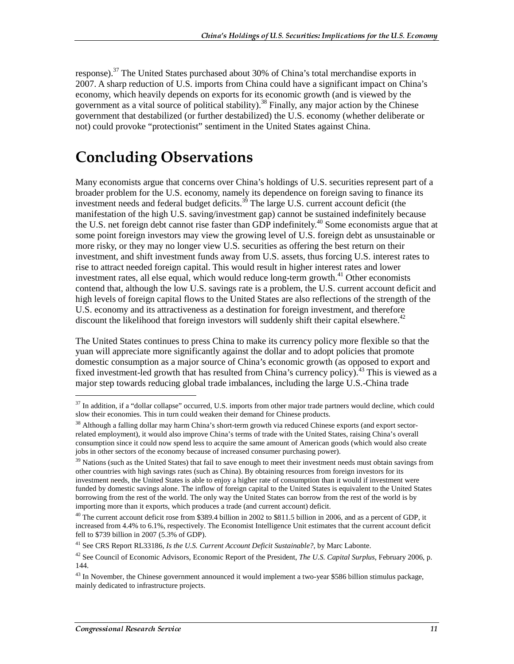response).<sup>37</sup> The United States purchased about 30% of China's total merchandise exports in 2007. A sharp reduction of U.S. imports from China could have a significant impact on China's economy, which heavily depends on exports for its economic growth (and is viewed by the government as a vital source of political stability).<sup>38</sup> Finally, any major action by the Chinese government that destabilized (or further destabilized) the U.S. economy (whether deliberate or not) could provoke "protectionist" sentiment in the United States against China.

### **Concluding Observations**

Many economists argue that concerns over China's holdings of U.S. securities represent part of a broader problem for the U.S. economy, namely its dependence on foreign saving to finance its investment needs and federal budget deficits.<sup>39</sup> The large U.S. current account deficit (the manifestation of the high U.S. saving/investment gap) cannot be sustained indefinitely because the U.S. net foreign debt cannot rise faster than GDP indefinitely.<sup>40</sup> Some economists argue that at some point foreign investors may view the growing level of U.S. foreign debt as unsustainable or more risky, or they may no longer view U.S. securities as offering the best return on their investment, and shift investment funds away from U.S. assets, thus forcing U.S. interest rates to rise to attract needed foreign capital. This would result in higher interest rates and lower investment rates, all else equal, which would reduce long-term growth.<sup>41</sup> Other economists contend that, although the low U.S. savings rate is a problem, the U.S. current account deficit and high levels of foreign capital flows to the United States are also reflections of the strength of the U.S. economy and its attractiveness as a destination for foreign investment, and therefore discount the likelihood that foreign investors will suddenly shift their capital elsewhere.<sup>42</sup>

The United States continues to press China to make its currency policy more flexible so that the yuan will appreciate more significantly against the dollar and to adopt policies that promote domestic consumption as a major source of China's economic growth (as opposed to export and fixed investment-led growth that has resulted from China's currency policy).<sup>43</sup> This is viewed as a major step towards reducing global trade imbalances, including the large U.S.-China trade

 $37$  In addition, if a "dollar collapse" occurred, U.S. imports from other major trade partners would decline, which could slow their economies. This in turn could weaken their demand for Chinese products.

<sup>&</sup>lt;sup>38</sup> Although a falling dollar may harm China's short-term growth via reduced Chinese exports (and export sectorrelated employment), it would also improve China's terms of trade with the United States, raising China's overall consumption since it could now spend less to acquire the same amount of American goods (which would also create jobs in other sectors of the economy because of increased consumer purchasing power).

 $39$  Nations (such as the United States) that fail to save enough to meet their investment needs must obtain savings from other countries with high savings rates (such as China). By obtaining resources from foreign investors for its investment needs, the United States is able to enjoy a higher rate of consumption than it would if investment were funded by domestic savings alone. The inflow of foreign capital to the United States is equivalent to the United States borrowing from the rest of the world. The only way the United States can borrow from the rest of the world is by importing more than it exports, which produces a trade (and current account) deficit.

<sup>&</sup>lt;sup>40</sup> The current account deficit rose from \$389.4 billion in 2002 to \$811.5 billion in 2006, and as a percent of GDP, it increased from 4.4% to 6.1%, respectively. The Economist Intelligence Unit estimates that the current account deficit fell to \$739 billion in 2007 (5.3% of GDP).

<sup>41</sup> See CRS Report RL33186, *Is the U.S. Current Account Deficit Sustainable?*, by Marc Labonte.

<sup>42</sup> See Council of Economic Advisors, Economic Report of the President, *The U.S. Capital Surplus*, February 2006, p. 144.

<sup>&</sup>lt;sup>43</sup> In November, the Chinese government announced it would implement a two-year \$586 billion stimulus package, mainly dedicated to infrastructure projects.